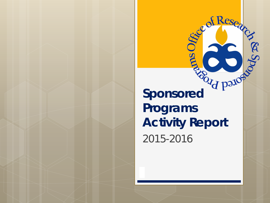**Sponsored Sponsored Programs Activity Report** 2015-2016

**PROD** 

Se of Research

B Spo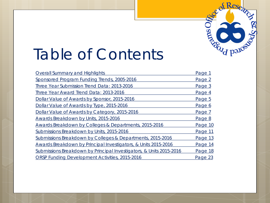# Table of Contents

| <b>Overall Summary and Highlights</b>                               | Page 1  |
|---------------------------------------------------------------------|---------|
| Sponsored Program Funding Trends, 2005-2016                         | Page 2  |
| Three Year Submission Trend Data: 2013-2016                         | Page 3  |
| Three Year Award Trend Data: 2013-2016                              | Page 4  |
| Dollar Value of Awards by Sponsor, 2015-2016                        | Page 5  |
| Dollar Value of Awards by Type, 2015-2016                           | Page 6  |
| Dollar Value of Awards by Category, 2015-2016                       | Page 7  |
| Awards Breakdown by Units, 2015-2016                                | Page 8  |
| Awards Breakdown by Colleges & Departments, 2015-2016               | Page 10 |
| Submissions Breakdown by Units, 2015-2016                           | Page 11 |
| Submissions Breakdown by Colleges & Departments, 2015-2016          | Page 13 |
| Awards Breakdown by Principal Investigators, & Units 2015-2016      | Page 14 |
| Submissions Breakdown by Principal Investigators, & Units 2015-2016 | Page 18 |
| ORSP Funding Development Activities, 2015-2016                      | Page 23 |

of Resea

Recycle Date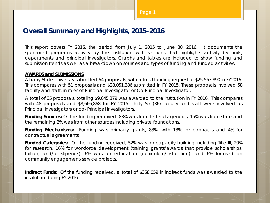#### **Overall Summary and Highlights, 2015-2016**

This report covers FY 2016, the period from July 1, 2015 to June 30, 2016. It documents the sponsored programs activity by the institution with sections that highlights activity by units, departments and principal investigators. Graphs and tables are included to show funding and submission trends as well as a breakdown on sources and types of funding and funded activities.

#### **AWARDS and SUBMISSIONS**

Albany State University submitted 64 proposals, with a total funding request of \$25,563,890 in FY2016. This compares with 51 proposals and \$28,051,386 submitted in FY 2015. These proposals involved 58 faculty and staff, in roles of Principal Investigator or Co-Principal Investigator.

A total of 35 proposals, totaling \$9,645,379 was awarded to the institution in FY 2016. This compares with 48 proposals and \$8,666,868 for FY 2015. Thirty Six (36) faculty and staff were involved as Principal investigators or co- Principal investigators.

*Funding Sources:* Of the funding received, 83% was from federal agencies, 15% was from state and the remaining 2% was from other sources including private foundations.

*Funding Mechanisms:* Funding was primarily grants, 83%, with 13% for contracts and 4% for contractual agreements.

*Funded Categories:* Of the funding received, 52% was for capacity building including Title III, 20% for research, 16% for workforce development (training grants/awards that provide scholarships, tuition, and/or stipends), 6% was for education (curriculum/instruction), and 6% focused on community engagement/service projects.

*Indirect Funds*: Of the funding received, a total of \$358,059 in indirect funds was awarded to the institution during FY 2016.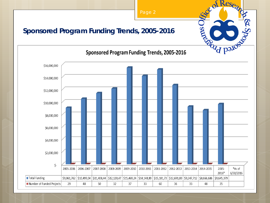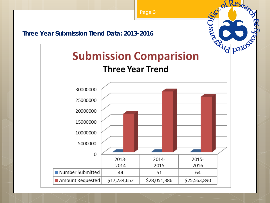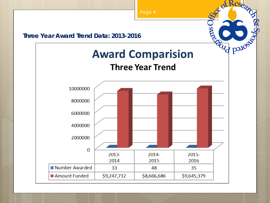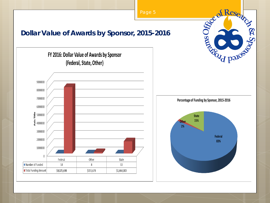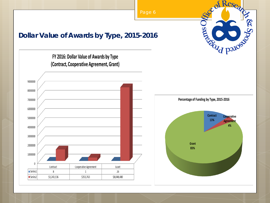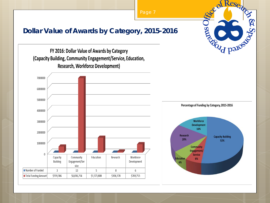e of Resea R. Sports of Barrier **Dollar Value of Awards by Category, 2015-2016** FY 2016: Dollar Value of Awards by Category (Capacity Building, Community Engagement/Service, Education, **Research, Workforce Development)** 7000000 6000000 5000000





Percentage of Funding by Category, 2015-2016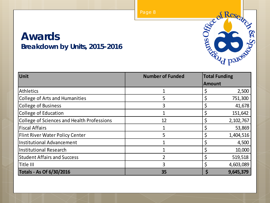### **Awards Breakdown by Units, 2015-2016**

| Unit                                       | <b>Number of Funded</b> | <b>Total Funding</b> |           |
|--------------------------------------------|-------------------------|----------------------|-----------|
|                                            |                         | <b>Amount</b>        |           |
| Athletics                                  | 1                       |                      | 2,500     |
| College of Arts and Humanities             | 5                       |                      | 751,300   |
| College of Business                        | 3                       |                      | 41,678    |
| College of Education                       |                         |                      | 151,642   |
| College of Sciences and Health Professions | 12                      |                      | 2,102,767 |
| <b>Fiscal Affairs</b>                      |                         |                      | 53,869    |
| <b>Flint River Water Policy Center</b>     | 5                       |                      | 1,404,516 |
| Institutional Advancement                  |                         |                      | 4,500     |
| Institutional Research                     |                         |                      | 10,000    |
| <b>Student Affairs and Success</b>         |                         |                      | 519,518   |
| Title III                                  | 3                       |                      | 4,603,089 |
| <b>Totals - As Of 6/30/2016</b>            | 35                      |                      | 9,645,379 |

City of Research

**POICE PLOCK** 

**SUGGERY**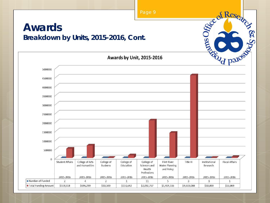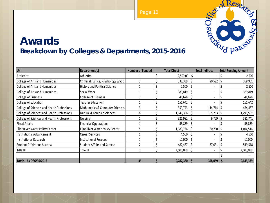### **Awards Breakdown by Colleges & Departments, 2015-2016**

| Unit                                       | Department(s)                       | <b>Number of Funded</b> | <b>Total Direct</b> | <b>Total Indirect</b>         | <b>Total Funding Amount</b> |
|--------------------------------------------|-------------------------------------|-------------------------|---------------------|-------------------------------|-----------------------------|
| Athletics                                  | Athletics                           |                         | 2,500.00            |                               | 2,500                       |
| College of Arts and Humanities             | Criminal Justice, Psychology & Soci |                         | 338,389             | 20,592                        | 358,981                     |
| College of Arts and Humanities             | History and Political Science       |                         | 2,500               |                               | 2,500                       |
| College of Arts and Humanities             | Social Work                         |                         | 389,819             | $\overline{\phantom{a}}$      | 389,819                     |
| <b>College of Business</b>                 | <b>College of Business</b>          | ς                       | 41,678              | $\blacksquare$                | 41,678                      |
| College of Education                       | <b>Teacher Education</b>            |                         | 151,642             |                               | 151,642                     |
| College of Sciences and Health Professions | Mathematics & Computer Sciences     | ς                       | 359,743             | 114,714                       | 474,457                     |
| College of Sciences and Health Professions | Natural & Forensic Sciences         | 8                       | 1,141,336           | 155,233                       | 1,296,569                   |
| College of Sciences and Health Professions | Nursing                             |                         | 321,982             | 9,759                         | 331,741                     |
| Fiscal Affairs                             | <b>Financial Opperations</b>        |                         | 53,869              |                               | 53,869                      |
| Flint River Water Policy Center            | Flint River Water Policy Center     |                         | 1,383,786           | 20,730                        | 1,404,516                   |
| <b>Institutional Advancement</b>           | Career Services                     |                         | 4,500               |                               | 4,500                       |
| Institutional Research                     | <b>Institutional Research</b>       |                         | 10,000              |                               | 10,000                      |
| <b>Student Affairs and Success</b>         | <b>Student Affairs and Success</b>  |                         | 482,487             | 37,031<br>Ś                   | 519,518                     |
| Title III                                  | Title III                           | 3                       | 4,603,089           | S<br>$\overline{\phantom{a}}$ | 4,603,089                   |
|                                            |                                     |                         |                     |                               |                             |
| Totals - As Of 6/30/2016                   |                                     | 35                      | 9,287,320           | 358,059                       | 9,645,379                   |

Page 10

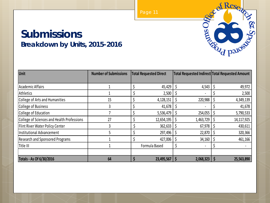### **Submissions Breakdown by Units, 2015-2016**

| <b>Unit</b>                                | <b>Number of Submissions</b> | <b>Total Requested Direct</b> |                        | Total Requested Indirect Total Requested Amount |  |
|--------------------------------------------|------------------------------|-------------------------------|------------------------|-------------------------------------------------|--|
|                                            |                              |                               |                        |                                                 |  |
| Academic Affairs                           |                              | 45,429                        | 4,543                  | 49,972                                          |  |
| Athletics                                  |                              | 2,500                         |                        | 2,500                                           |  |
| College of Arts and Humanities             | 15                           | 4,128,151                     | 220,988                | 4,349,139                                       |  |
| College of Business                        |                              | 41,678                        |                        | 41,678                                          |  |
| College of Education                       |                              | 5,536,479                     | 254,055                | 5,790,533                                       |  |
| College of Sciences and Health Professions | 27                           | 12,654,195                    | 1,463,729              | 14, 117, 925                                    |  |
| Flint River Water Policy Center            |                              | $362,633$   \$                | 67,978                 | 430,611                                         |  |
| Institutional Advancement                  |                              | 297,496                       | 22,870                 | 320,366                                         |  |
| <b>Research and Sponsored Programs</b>     |                              | 427,006                       | 34,160<br><sub>S</sub> | 461,166                                         |  |
| Title III                                  |                              | Formula Based                 |                        |                                                 |  |
|                                            |                              |                               |                        |                                                 |  |
| Totals - As Of 6/30/2016                   | 64                           | 23,495,567                    | 2,068,323<br>S         | 25,563,890                                      |  |



<sub>d</sub> of Resea

**El Spock Despiter**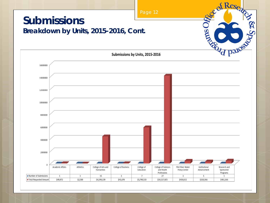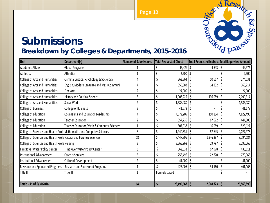

### **Submissions Breakdown by Colleges & Departments, 2015-2016**

| Unit                                                               | Department(s)                                                          | <b>Number of Submissions</b> | <b>Total Requested Direct</b>         |                | Total Requested Indirect Total Requested Amount |
|--------------------------------------------------------------------|------------------------------------------------------------------------|------------------------------|---------------------------------------|----------------|-------------------------------------------------|
| <b>Academic Affairs</b>                                            | Global Programs                                                        |                              | 45,429                                | 4,543          | 49,972                                          |
| Athletics                                                          | Athletics                                                              |                              | 2,500                                 |                | 2,500                                           |
| College of Arts and Humanities                                     | Criminal Justice, Psychology & Sociology                               |                              | Ś<br>263,864                          | 10,667         | 274,531                                         |
| College of Arts and Humanities                                     | English, Modern Language and Mass Communi                              |                              | 350,982                               | 14,232         | 365,214                                         |
| College of Arts and Humanities                                     | Fine Arts                                                              | $\overline{2}$               | \$<br>24,000                          |                | 24,000                                          |
| College of Arts and Humanities                                     | History and Political Science                                          | 3                            | 1,903,225                             | 196,089        | 2,099,314                                       |
| College of Arts and Humanities                                     | Social Work                                                            |                              | 1,586,080                             |                | 1,586,080                                       |
| College of Business                                                | <b>College of Buisness</b>                                             | 3                            | \$<br>41,678                          |                | 41,678                                          |
| College of Education                                               | Counseling and Education Leadership                                    | 4                            | \$<br>4,672,205                       | 150,294        | 4,822,498                                       |
| College of Education                                               | Teacher Education                                                      | 2                            | \$<br>357,236                         | 87,672         | 444,908                                         |
| College of Education                                               | Teacher Education/Math & Computer Sciences                             |                              | \$<br>507,038                         | 16,089<br>S    | 523,127                                         |
|                                                                    | College of Sciences and Health Profe Mathematics and Computer Sciences | 6                            | 1,940,331                             | 87,645         | 2,027,976                                       |
| College of Sciences and Health Profe Natural and Forensic Sciences |                                                                        | 18                           | 7,447,896                             | 1,346,287      | 8,794,184                                       |
| College of Sciences and Health Profe Nursing                       |                                                                        | 3                            | 3,265,968                             | 29,797         | 3,295,765                                       |
| Flint River Water Policy Center                                    | Flint River Water Policy Center                                        | 3                            | \$<br>362,633                         | Ś<br>67,978    | 430,611                                         |
| Institutional Advancement                                          | <b>Careers Services</b>                                                |                              | 256,496                               | 22,870         | 279,366                                         |
| Institutional Advancement                                          | Office of Development                                                  |                              | 41,000                                |                | 41,000                                          |
| <b>Research and Sponsored Programs</b>                             | <b>Research and Sponsored Programs</b>                                 |                              | 427,006                               | Ś<br>34,160    | 461,166                                         |
| Title III                                                          | Title III                                                              |                              | Formula based                         |                |                                                 |
|                                                                    |                                                                        |                              |                                       |                |                                                 |
| Totals - As Of 6/30/2016                                           |                                                                        | 64                           | $\overline{\mathsf{S}}$<br>23,495,567 | Ś<br>2,068,323 | $\mathsf{S}$<br>25,563,890                      |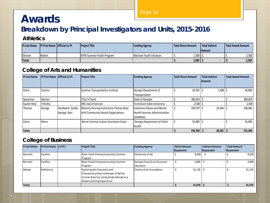# **Awards**

### **Breakdown by Principal Investigators and Units, 2015-2016**

#### **Athletics**

| <b>PI Last Name</b> | <b>IPI First Name   Official Co PI</b> | <b>Project Title</b>      | <b>Funding Agency</b>    | Total Direct Amount | Total Indirect | <b>Total Award Amount</b> |
|---------------------|----------------------------------------|---------------------------|--------------------------|---------------------|----------------|---------------------------|
|                     |                                        |                           |                          |                     | Amount         |                           |
| Skinner             | Robert                                 | NYSP Summer Youth Program | Walmart Youth Initiative | 2,500               |                | 2,500                     |
| <b>Totals</b>       |                                        |                           |                          | 2,500               |                | 2,500                     |

#### **College of Arts and Humanities**

| <b>PI Last Name</b> | <b>PI First Name Official Co PI</b> |                                  | <b>Project Title</b>                                                             | <b>Funding Agency</b>                                                                  | <b>Total Direct Amount</b> | <b>Total Indirect</b> | <b>Total Award Amount</b> |
|---------------------|-------------------------------------|----------------------------------|----------------------------------------------------------------------------------|----------------------------------------------------------------------------------------|----------------------------|-----------------------|---------------------------|
|                     |                                     |                                  |                                                                                  |                                                                                        |                            | Amount                |                           |
| Ochie               | Charles                             |                                  | <b>Summer Transportation Institute</b>                                           | Georgia Department of<br>Transportation                                                | 43,592                     | $1,408$ \$            | 45,000                    |
| Spearman            | Marilyn                             |                                  | <b>Title IV Grant</b>                                                            | State of Georgia                                                                       | 389,819                    |                       | 389,819                   |
| Sweet-Holp          | Timothy                             |                                  | MKL Day of Service                                                               | <b>Tennessee State University</b>                                                      | 2,500                      |                       | 2,500                     |
| <b>Thomas</b>       | George                              | Handwerk, Sandy;<br>George, Rani | Minority Serving Institutions Partnerships<br>with Community-Based Organizations | <b>Substance Abuse and Mental</b><br><b>Health Services Administration</b><br>(SAMHSA) | 239,797 \$                 | 19,184                | 258,981                   |
| Zuern               | Glenn                               |                                  | Byrne Criminal Justice Innovation Grant                                          | Georgia Department of Public<br>health                                                 | 55,000                     | ٠                     | 55,000                    |
| <b>Totals</b>       |                                     |                                  |                                                                                  |                                                                                        | 730,708 \$                 | 20,592                | 751,300                   |

#### **College of Business**

| <b>PI Last Name</b> | <b>IPI First Name ICo PI's</b> | <b>Project Title</b>                     | <b>Funding Agency</b>       | <b>Direct Amount</b> | <b>Indirect Amount</b> | <b>Total Amount</b> |
|---------------------|--------------------------------|------------------------------------------|-----------------------------|----------------------|------------------------|---------------------|
|                     |                                |                                          |                             | Requested            | Requested              | Requested           |
| Bennett             | Cynthia                        | Black Youth Entrepreneurship Summer      | University of GA            | 8,500                |                        | 8.500               |
|                     |                                | Program                                  |                             |                      |                        |                     |
| Bennett             | Cynthia                        | Black Youth Entrepreneurship Summer      | Georgia Council on Economic | 2,000                |                        | 2,000               |
|                     |                                | Program                                  | Education                   |                      |                        |                     |
| Monds               | Kathleena                      | Exploring the Economic and               | Charles Koch Foundation     | 31,178               |                        | 31,178              |
|                     |                                | Entrepreneurship Landscape of Belize,    |                             |                      |                        |                     |
|                     |                                | Central America: Using Study Abroad as a |                             |                      |                        |                     |
|                     |                                | Global Learning Experience               |                             |                      |                        |                     |
| <b>Totals</b>       |                                |                                          |                             | 41,678               |                        | 41,678              |

Page 14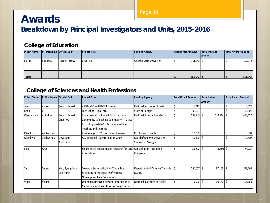### **Awards Breakdown by Principal Investigators and Units, 2015-2016**

#### **College of Education**

| <b>PI Last Name</b> | <b>PI First Name Official Co PI</b> |                | <b>Project Title</b> | <b>Funding Agency</b>    | <b>Total Direct Amount</b> | Total Indirect<br><b>IAmount</b> | l Total Award Amount |
|---------------------|-------------------------------------|----------------|----------------------|--------------------------|----------------------------|----------------------------------|----------------------|
| Fields              | Kimberly                            | Pogue, Tiffany | <b>CREST Ed</b>      | Georgia State University | $151,642$   \$             |                                  | 151,642              |
| <b>Totals</b>       |                                     |                |                      |                          | $151,642$ \$               |                                  | 151,642              |

#### **College of Sciences and Health Professions**

| <b>PI Last Name</b> | <b>PI First Name</b> | <b>Official Co PI</b>          | <b>Project Title</b>                                                                                                                                       | <b>Funding Agency</b>                             | <b>Total Direct Amount</b> | <b>Total Indirect</b><br><b>IAmount</b> | <b>Total Award Amount</b> |
|---------------------|----------------------|--------------------------------|------------------------------------------------------------------------------------------------------------------------------------------------------------|---------------------------------------------------|----------------------------|-----------------------------------------|---------------------------|
| Jain                | Ashok                | Roosta, Seyed                  | ASU MARC to BRIDGE Program                                                                                                                                 | National Institutes of Health                     | 16,017                     |                                         | 16,017                    |
| Chan                | КC                   |                                | High School High Tech                                                                                                                                      | State of Georgia                                  | 105,001                    |                                         | 105,001                   |
| Ojemakinde          | Abiodun              | Roosta, Seyed;<br>Chan, KC     | Implementation Project: From Learning<br>Community to Teaching Community - A Grass<br>Roots Approach to STEM Undergraduate<br><b>Teaching and Learning</b> | National Science Foundation                       | 338,943                    | \$<br>114,714                           | 453,657                   |
| Okonkwo             | Zephyrinus           |                                | Pre-College STEM Enrichment Program                                                                                                                        | <b>Proctor and Gamble</b>                         | 10,000                     |                                         | 10,000                    |
| Okonkwo             | Zephyrinus           | Devarapu,<br>Anilkumar         | <b>ALG Textbook Transformation Grant</b>                                                                                                                   | Board of Regents University<br>Systems of Georgia | 10,800                     | S                                       | 10,800                    |
| Saha                | Arun                 |                                | Solar Energy Education and Research for Local Constellation: An Exelon<br>Area Schools                                                                     | Company                                           | 26,222                     | $1,680$ \$<br>\$                        | 27,902                    |
| Seo                 | Seong                | Kim, Byung-Hoon;<br>Lee, Yong; | Toward a Systematic, High-Throughput<br>Screening of the Toxicity of Various<br>Organophosphate Compounds                                                  | Department of Defense Through<br><b>MSRDC</b>     | Ś<br>256,657               | 97,106<br>Ŝ                             | 353,763                   |
| Wang                | Yixuan               |                                | Understanding Non-covalent Interaction in<br>Carbon Nanotube/Anticancer Drug Conjuga                                                                       | National Institutes of Health                     | Ś<br>75,000                | \$<br>$30,160$   \$                     | 105,160                   |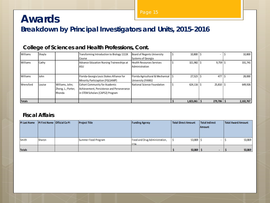# **Awards**

**Breakdown by Principal Investigators and Units, 2015-2016**

| Williams        | Shayla |                                                 | Transforming Introduction to Biology 1111K<br>Course                                                                  | Board of Regents University<br>Systems of Georgia      | 10,800    |             | 10,800    |
|-----------------|--------|-------------------------------------------------|-----------------------------------------------------------------------------------------------------------------------|--------------------------------------------------------|-----------|-------------|-----------|
| <b>Williams</b> | Cathy  |                                                 | Advance Education Nursing Traineeships at<br>ASU                                                                      | <b>Health Resources Services</b><br>Administration     | 321,982   | $9,759$ \$  | 331.741   |
| <b>Williams</b> | John   |                                                 | Florida-Georgia Louis Stokes Alliance for<br>Minority Particiaption (FGLSAMP)                                         | Florida Agricultural & Mechanical<br>University (FAMU) | 27,523    | 477         | 28,000    |
| Wrensford       | Louise | Williams, John;<br>Zheng, L.; Porter,<br>Rhonda | <b>Cohort Community for Academic</b><br>Achievement, Persistence and Perseverance<br>in STEM Scholars (CAPS2) Program | National Science Foundation                            | 624,116   | $25,810$ \$ | 649,926   |
| <b>Totals</b>   |        |                                                 |                                                                                                                       |                                                        | 1,823,061 | 279,706     | 2,102,767 |

#### **College of Sciences and Health Professions, Cont.**

#### **Fiscal Affairs**

| <b>PI Last Name</b> | <b>PI First Name   Official Co PI</b> | <b>Project Title</b> | <b>Funding Agency</b>                       | Total Direct Amount | Total Indirect<br><b>Amount</b> | Total Award Amount |
|---------------------|---------------------------------------|----------------------|---------------------------------------------|---------------------|---------------------------------|--------------------|
| Smith               | Sharon                                | Summer Food Program  | Food and Drug Administration,<br><b>FDA</b> | $53,869$ \ \$       |                                 | 53,869             |
| <b>Totals</b>       |                                       |                      |                                             | 53,869              |                                 | 53,869             |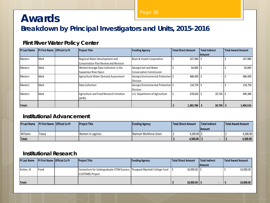# **Awards**

Page 16

### **Breakdown by Principal Investigators and Units, 2015-2016**

| <b>PI Last Name</b> | PI First Name Official Co PI | <b>Project Title</b>                         | <b>Funding Agency</b>                 | <b>Total Direct Amount</b> | <b>Total Indirect</b> | <b>Total Award Amount</b> |
|---------------------|------------------------------|----------------------------------------------|---------------------------------------|----------------------------|-----------------------|---------------------------|
|                     |                              |                                              |                                       |                            | <b>IAmount</b>        |                           |
| <b>Masters</b>      | Mark                         | Regional Water Development and               | <b>Black &amp; Veatch Corporation</b> | $247,980$   \$             |                       | 247,980                   |
|                     |                              | <b>Conservation Plan Review and Revision</b> |                                       |                            |                       |                           |
| <b>Masters</b>      | Mark                         | Wetted Acreage Data Collection in the        | Georgia Soil and Water                | 50,000                     |                       | 50,000                    |
|                     |                              | Suwannee River Basin                         | <b>Conservation Commission</b>        |                            |                       |                           |
| <b>Masters</b>      | Mark                         | Agricultural Water Demand Assessment         | Georgia Environmental Protection S    | 488,400                    |                       | 488,400                   |
|                     |                              |                                              | <b>Division</b>                       |                            |                       |                           |
| <b>Masters</b>      | Mark                         | Data Collection                              | Georgia Environmental Protection S    | 118,750   \$               |                       | 118,750                   |
|                     |                              |                                              | <b>Division</b>                       |                            |                       |                           |
| <b>Masters</b>      | Mark                         | Agriculture and Food Research Initiative     | U.S. Department of Agriculture        | 478,656 \$                 | $20,730$ \$           | 499,386                   |
|                     |                              | (AFRI)                                       |                                       |                            |                       |                           |
|                     |                              |                                              |                                       |                            |                       |                           |
| <b>Totals</b>       |                              |                                              |                                       | $1,383,786$ \$             | $20,730$   \$         | 1,404,516                 |

#### **Flint River Water Policy Center**

#### **Institutional Advancement**

| <b>PI Last Name</b> | <b>PI First Name Official Co PI</b> | <b>Project Title</b> | <b>Funding Agency</b>   | l Total Direct Amount | Total Indirect | Total Award Amount |
|---------------------|-------------------------------------|----------------------|-------------------------|-----------------------|----------------|--------------------|
|                     |                                     |                      |                         |                       | lAmount        |                    |
| Williams            | Tracey                              | Women In Logistics   | Walmart Workforce Grant | 4,500.00              |                | 4,500.00           |
| <b>Totals</b>       |                                     |                      |                         | 4,500.00              |                | 4.500.00           |

#### **Institutional Research**

| <b>PI Last Name</b> | <b>IPI First Name Official Co PI</b> | <b>Project Title</b>                                                                            | <b>Funding Agency</b> | l Total Direct Amount | Total Indirect | Total Award Amount |
|---------------------|--------------------------------------|-------------------------------------------------------------------------------------------------|-----------------------|-----------------------|----------------|--------------------|
|                     |                                      |                                                                                                 |                       |                       | <b>IAmount</b> |                    |
| Archer, III         | Frank                                | Consortium for Undergraduate STEM Success   Thurgood Marshall College Fund<br>(CUSTEMS) Project |                       | $10,000.00$ S         |                | 10,000.00          |
| <b>Totals</b>       |                                      |                                                                                                 |                       | 10,000.00             |                | 10,000.00          |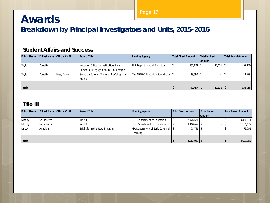# **Awards**

**Breakdown by Principal Investigators and Units, 2015-2016**

#### **Student Affairs and Success**

| <b>PI Last Name</b> | <b>IPI First Name Official Co PI</b> |              | <b>Project Title</b>                                                          | <b>Funding Agency</b>            | l Total Direct Amount | Total Indirect | Total Award Amount |
|---------------------|--------------------------------------|--------------|-------------------------------------------------------------------------------|----------------------------------|-----------------------|----------------|--------------------|
|                     |                                      |              |                                                                               |                                  |                       | <b>Amount</b>  |                    |
| Saylor              | Danette                              |              | Veterans Office for Institutional and<br>Community Engagement (VOICE) Project | U.S. Department of Education     | 462,889               | $37,031$ \$    | 499,920            |
| Saylor              | Danette                              | Bass, Kevius | Guardian Scholars Summer PreCollegiate<br>Program                             | The NSORO Education Foundation S | 19,598                |                | 19,598             |
| <b>Totals</b>       |                                      |              |                                                                               |                                  | 482,487               | $37,031$   :   | 519,518            |

#### **Title III**

| <b>PI Last Name</b> | <b>PI First Name Official Co PI</b> | <b>Project Title</b>          | <b>Funding Agency</b>                  | <b>Total Direct Amount</b> | <b>Total Indirect</b> | l Total Award Amount |
|---------------------|-------------------------------------|-------------------------------|----------------------------------------|----------------------------|-----------------------|----------------------|
|                     |                                     |                               |                                        |                            | <b>Amount</b>         |                      |
| Moody               | Saundrette                          | Title III                     | U.S. Department of Education           | 3,426,621                  |                       | 3,426,621            |
| Moody               | Saundrette                          | <b>SAFRA</b>                  | U.S. Department of Education           | 1,100,677                  |                       | 1,100,677            |
| Lincey              | Angelyn                             | Bright form the State Program | <b>GA Department of Early Care and</b> | 75,791                     |                       | 75,791               |
|                     |                                     |                               | Learning                               |                            |                       |                      |
|                     |                                     |                               |                                        |                            |                       |                      |
| <b>Totals</b>       |                                     |                               |                                        | 4,603,089                  |                       | 4,603,089            |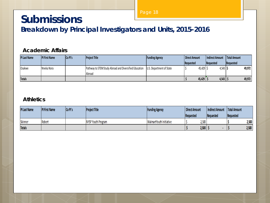## **Submissions**

**Breakdown by Principal Investigators and Units, 2015-2016**

#### **Academic Affairs**

| <b>PI Last Name</b> | <b>PI First Name</b> | <b>ICo PI's</b> | <b>Project Title</b>                                             | <b>Funding Agency</b>    | Direct Amount    | I Indirect Amount     | Total Amount |
|---------------------|----------------------|-----------------|------------------------------------------------------------------|--------------------------|------------------|-----------------------|--------------|
|                     |                      |                 |                                                                  |                          | <b>Requested</b> | <b>IRequested</b>     | lReauested   |
| Osakwe              | Nneka Nora           |                 | Pathway to STEM Study Abroad and Diversified Education<br>Abroad | U.S. Department of State | 45,429           | $4,543$ $\frac{1}{5}$ | 49,972       |
| <b>Totals</b>       |                      |                 |                                                                  |                          | 45,429           | 4,543                 | 49,972       |

#### **Athletics**

| <b>PI Last Name</b> | <b>PI First Name</b> | <b>Co PI's</b> | <b>Project Title</b> | <b>Funding Agency</b>   | Direct Amount    |       | Indirect Amount | <b>Total Amount</b> |       |
|---------------------|----------------------|----------------|----------------------|-------------------------|------------------|-------|-----------------|---------------------|-------|
|                     |                      |                |                      |                         | <b>Requested</b> |       | Requested       | Requested           |       |
| Skinner             | Robert               |                | NYSP Youth Program   | WalmartYouth Initiative |                  | 2,500 |                 |                     | 2,500 |
| <b>Totals</b>       |                      |                |                      |                         |                  | 2,500 |                 |                     | 2,500 |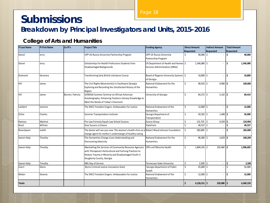# **Submissions**

### **Breakdown by Principal Investigators and Units, 2015-2016**

#### **College of Arts and Humanities**

| PI Last Name  | PI First Name | Co PI's          | <b>Project Title</b>                                                                                                                                                                                    | <b>Funding Agency</b>                                                    | <b>Direct Amount</b>            | <b>Indirect Amount</b> | <b>Total Amount</b> |
|---------------|---------------|------------------|---------------------------------------------------------------------------------------------------------------------------------------------------------------------------------------------------------|--------------------------------------------------------------------------|---------------------------------|------------------------|---------------------|
|               |               |                  |                                                                                                                                                                                                         |                                                                          | Requested                       | Requested              | Requested           |
| Daniel        | Jerry         |                  | UPP US-Russia University Partnership Program                                                                                                                                                            | UPP US-Russia University<br>Partnership Program                          | 40,000 \$                       |                        | 40,000<br>Ś         |
| Daniel        | Jerry         |                  | Scholarships for Health Professions Students from<br>Disadvantaged Backgrounds                                                                                                                          | US Department of Health and Human   \$<br>Services Administration (HRSA) | 1,546,080 \$                    |                        | \$<br>1,546,080     |
| Diamond       | Genevea       |                  | Transforming Early British Literature Course                                                                                                                                                            | Board of Regents University Systems 5<br>of Georgia                      | 10,800 \$                       | ÷.                     | Ś<br>10,800         |
| l Hill        | James         |                  | The Civil Rights Movement(s) in Southwest Georgia:<br>Exploring and Recording the Uncollected History of the<br>Region                                                                                  | National Endowment for the<br><b>Humanities</b>                          | Ś.<br>$90,910$ \$               | $9,090$ \$             | 100,000             |
| Hill          | James         | Bonner, Patricia | SOWEGA Summer Seminar on African American<br>Autobiography: Enhancing Teachers Literacy Knowledge to<br>Meet the Needs of Today's Classroom                                                             | University of Georgia                                                    | 64,272 \$<br>Ŝ.                 | $5,142$ \$             | 69,414              |
| Lambert       | Jasmine       |                  | The SNCC Freedom Singers: Ambassadors for Justice                                                                                                                                                       | National Endowment of the<br><b>Humanities</b>                           | $\mathsf{\hat{S}}$<br>12,000 \$ |                        | Ś<br>12,000         |
| Ochie         | Charles       |                  | Summer Transportation Institute                                                                                                                                                                         | Georgia Department of<br>Transportation                                  | $\mathsf{\hat{S}}$<br>43,592 \$ | $1,408$ \$             | 45,000              |
| Ramsey        | Marlene       |                  | Pre-Law Formula Equals Law School Success                                                                                                                                                               | <b>Access Group</b>                                                      | $115,735$ \$<br>ς               | $9,259$ \$             | 124,994             |
| Reed          | William       |                  | Give Success a Chance                                                                                                                                                                                   | <b>StateFarm</b>                                                         | 49,537 \$                       |                        | \$<br>49,537        |
| Rosenbaum     | Judith        |                  | The doctor will see you now: The women's health clinic as a Robert Wood Johnson Foundation<br>change agent for mother's understanign of healthy eating                                                  |                                                                          | Ś.<br>185,000 \$                |                        | Ś<br>185,000        |
| Sweet-Holp    | Timothy       |                  | The Humanities Change Lives: Understanding and<br><b>Overcoming Adversity</b>                                                                                                                           | National Endowment for the<br>Humanities                                 | 96,580 \$<br>Ŝ.                 | $3,629$ \$             | 100,209             |
| Sweet-Holp    | Timothy       |                  | Marshalling the Services of Community Resource Agencies<br>with Therapeutic Horticultural and Farming Practices to<br>Reduce Trauma in Minority and Disadvantaged Youth in<br>Dougherty County, Georgia | Offic eof Minority Health                                                | ς.<br>1,804,145 \$              | 192,460 \$             | 1,996,605           |
| Sweet-Holp    | Timothy       |                  | MKL Day of Service                                                                                                                                                                                      | <b>Tennessee State University</b>                                        | Ś.<br>$2,500$ \$                | $\sim$                 | \$<br>2,500         |
| Zuern         | Glenn         |                  | <b>Byrne Criminal Justice Innovation Grant</b>                                                                                                                                                          | Georgia Department of Public<br>health                                   | $\mathsf{\hat{S}}$<br>55,000 \$ |                        | $\zeta$<br>55,000   |
| Weber         | Deanna        |                  | The SNCC Freedom Singers: Ambassadors for Justice                                                                                                                                                       | National Endowment of the<br><b>Humanities</b>                           | \$<br>12,000 \$                 | ÷.                     | \$<br>12,000        |
| <b>Totals</b> |               |                  |                                                                                                                                                                                                         |                                                                          | $4,128,151$ \$                  | 220,988                | 4,349,139<br>Ŝ.     |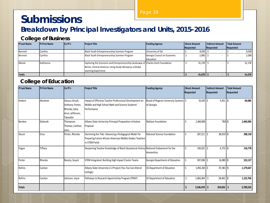# **Submissions**

### **Breakdown by Principal Investigators and Units, 2015-2016**

#### **College of Business**

| <b>PI Last Name</b> | <b>PI First Name</b> | Co Pl's | <b>Project Title</b>                                                             | <b>Funding Agency</b>       | Direct Amount | Indirect Amount | Total Amount |
|---------------------|----------------------|---------|----------------------------------------------------------------------------------|-----------------------------|---------------|-----------------|--------------|
|                     |                      |         |                                                                                  |                             | Requested     | Requested       | Requested    |
| Bennett             | Cvnthia              |         | Black Youth Entrepreneurship Summer Program                                      | University of GA            | 8,500         |                 | 8,500        |
| Bennett             | Cynthia              |         | Black Youth Entrepreneurship Summer Program                                      | Georgia Council on Economic | $2,000$   :   |                 | 2,000        |
|                     |                      |         |                                                                                  | Education                   |               |                 |              |
| <b>Monds</b>        | Kathleena            |         | Exploring the Economic and Entrepreneurship Landscape of Charles Koch Foundation |                             | 31,178        |                 | 31,178       |
|                     |                      |         | Belize, Central America: Using Study Abroad as a Global                          |                             |               |                 |              |
|                     |                      |         | Learning Experience                                                              |                             |               |                 |              |
| <b>Totals</b>       |                      |         |                                                                                  |                             | 41,678        |                 | 41,678       |

#### **College of Education**

| <b>PI Last Name</b> | <b>PI First Name</b> | Co PI's                                                                           | <b>Project Title</b>                                                                                                               | <b>Funding Agency</b>                                  | <b>Direct Amount</b><br>Requested | <b>Indirect Amount</b><br>Requested | <b>Total Amount</b><br>Requested |
|---------------------|----------------------|-----------------------------------------------------------------------------------|------------------------------------------------------------------------------------------------------------------------------------|--------------------------------------------------------|-----------------------------------|-------------------------------------|----------------------------------|
| Andero              | Abraham              | Owusu-Ansah,<br>Anthony; Porter,<br>Rhonda; Saha,<br>Arun; Jefferson,<br>Takeebie | Impact of Effective Teacher Professional Development on<br>Middle and High School Math and Science Students'<br>Performance        | Board of Regents University Systems   \$<br>of Georgia | $55,635$ \$                       | $4,451$ \$                          | 60,086                           |
| Bembry              | Deborah              | Thompson,<br>Thomas; Carthon,<br>Janis                                            | Albany State University Principal Preparation Initiative<br>Proposal                                                               | <b>Wallace Foundation</b>                              | 2,460,000                         | TBD <sub>\$</sub>                   | 2,460,000                        |
| Decuir              | Erica                | Porter, Rhonda                                                                    | Stemming the Tide: Advancing a Pedagogical Model for<br>Preparing Future African-American Middle Grades Teachers<br>in STEM Fields | National Science Foundation                            | 207,211                           | 80,919 \$                           | 288,130                          |
| Pogue               | Tiffany              |                                                                                   | Deepening Teacher Knowledge of Black Educational History National Endowment for the                                                | <b>Humanities</b>                                      | 150,025                           | $6,753$ \$                          | 156,778                          |
| Porter              | Rhonda               | Roosta, Seyed                                                                     | STEM Integrated: Building High Impact Cluster Teams                                                                                | Georgia Department of Education                        | $507,038$ \$<br>Ŝ                 | 16,089 \$                           | 523,127                          |
| Rollins             | Carolyn              |                                                                                   | Albany State University U-2 Project (You Too Can Attend<br>College)                                                                | US Department of Education                             | 1,092,265 \$                      | $87,381$ \$                         | 1,179,647                        |
| Rollins             | Carolyn              | Johnson, Joyce                                                                    | Pathways to Research Apprentiship Program (PRAP)                                                                                   | US Department of Education                             | \$<br>$1,064,304$ \$              | 58,462 \$                           | 1,122,766                        |
| <b>Totals</b>       |                      |                                                                                   |                                                                                                                                    |                                                        | $5,536,479$ \$                    | $254,055$ \$                        | 5,790,533                        |

Page 19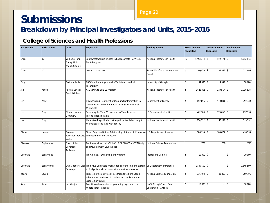# **Submissions**

**Breakdown by Principal Investigators and Units, 2015-2016**

#### **College of Sciences and Health Professions**

| <b>PI Last Name</b> | <b>PI First Name</b> | Co PI's                                            | <b>Project Title</b>                                                                                                              | <b>Funding Agency</b>                          | <b>Direct Amount</b><br>Requested | <b>Indirect Amount</b><br>Requested | <b>Total Amount</b><br>Requested |
|---------------------|----------------------|----------------------------------------------------|-----------------------------------------------------------------------------------------------------------------------------------|------------------------------------------------|-----------------------------------|-------------------------------------|----------------------------------|
| Chan                | КC                   | Williams, John;<br>Zheng, Ligiu;<br>Zheng, Xiaomei | Southwest Georgia Bridges to Baccalaureate (SOWEGA<br>BtoB) Program                                                               | National Institutes of Health                  | \$<br>1,493,374 \$                | 119,470                             | Ś<br>1,612,843                   |
| Chan                | КC                   |                                                    | <b>Connect to Success</b>                                                                                                         | SWGA Workforce Development<br>Board            | Ŝ.<br>190,070 \$                  | $21,336$ \$                         | 211,406                          |
| Feng                | Li.                  | Carthon, Janis                                     | GSE Coordinate Algebra with Tablet and Handheld<br>Technology                                                                     | University of Georgia                          | 54,333 \$<br>Ŝ.                   | $4,347$ \$                          | 58,680                           |
| Jain                | Ashok                | Roosta, Seyed;<br>Reed, William                    | ASU MARC to BRIDGE Program                                                                                                        | National Institutes of Health                  | Ś.<br>$1,626,301$ \$              | $110,517$ \$                        | 1,736,818                        |
| Lee                 | Yong                 |                                                    | Diagnosis and Treatment of Uranium Contamination in<br>Groundwater and Sediments Using in Situ Functional<br>Microbiota           | Department of Energy                           | Ŝ.<br>652,656 \$                  | 140,083                             | 792,739<br>Ŝ.                    |
| Lee                 | Yong                 | Okafor, Uzoma;<br>Oommen,                          | Surveying the Total Microbiome as Trace Evidence for<br>Forensic Identification                                                   | <b>US Department of Justice</b>                | \$<br>$462,103$ \$                | 175,632                             | 637,735<br>l \$                  |
| Lee                 | Yong                 |                                                    | Understanding a hidden pathogenic potential of the gut<br>microbiota associated with obesity                                      | National Institutes of Health                  | Ŝ.<br>274,552 \$                  | 45,179 \$                           | 319,731                          |
| Okafor              | Uzoma                | Oommen,<br>Zachariah; Bowers,<br>Walter            | Street Drugs and Crime Relationship: A Scientific Evaluation U.S. Department of Justice<br>on Recognition and Detection           |                                                | \$<br>$306,114$ \$                | 104,679 \$                          | 410,793                          |
| Okonkwo             | Zephyrinus           | Owor, Robert;<br>Deverapu<br>Anilkumar             | Preliminary Proposal NSF INCLUDES: SOWEGA STEM Design<br>and Development Launch Pilot                                             | National Science Foundation                    | <b>TBD</b>                        | <b>TBD</b>                          | <b>TBD</b>                       |
| Okonkwo             | Zephyrinus           |                                                    | Pre-College STEM Enrichment Program                                                                                               | <b>Proctor and Gamble</b>                      | Ŝ.<br>10,000 \$                   |                                     | 10,000<br>ς                      |
| Okonkwo             | Zephryrinus          | Owor, Robert; Ojo;<br>Deverapu                     | Predictive Computational Modeling of the Immune System US Department of Defense<br>to Bridge Animal and Human Immune Responses to |                                                | \$<br>1,549,500 \$                | $\overline{a}$                      | Ś<br>1,549,500                   |
| Roosta              | Seyed                |                                                    | Targeted Infusion Project: Integrating Problem-Based<br>Laboratory Experiences in Mathematics and Computer<br>Science Curriculum  | National Science Foundation                    | Ś.<br>$316,498$ \$                | 83,298 \$                           | 399,796                          |
| Saha                | Arun                 | Hu, Wanjan                                         | Robotics and computer programming experience for<br>middle school students.                                                       | NASA Georgia Space Grant<br>Consortium/ GATech | Ŝ.<br>$10,000$ \$                 |                                     | Ś<br>10,000                      |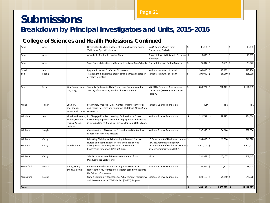# **Submissions**

### **Breakdown by Principal Investigators and Units, 2015-2016**

#### **College of Sciences and Health Professions, Continued**

| Saha          | Arun   |                                               | Design, Construction and Test of Human Powered Rover<br>Vehicle for Space Exploration                                                                                                           | NASA Georgia Space Grant<br>Consortium/GATech                              | \$                 | $10,000$ \$     |                | 10,000<br><sup>\$</sup> |
|---------------|--------|-----------------------------------------------|-------------------------------------------------------------------------------------------------------------------------------------------------------------------------------------------------|----------------------------------------------------------------------------|--------------------|-----------------|----------------|-------------------------|
| Saha          | Arun   |                                               | Affordable Textbook Learning Grant                                                                                                                                                              | Board of Regents University Systems \$<br>of Georgia                       |                    | 10,800 \$       | $\sim$         | 10,800<br>\$            |
| Saha          | Arun   |                                               | Solar Energy Education and Research for Local Area Schools                                                                                                                                      | Constellation: An Exelon Company                                           | $\mathsf{S}$       | $27,142$ \$     | $1,735$ \$     | 28,877                  |
| Saheb         | Amir   |                                               | Epigenetic Sensor for Cancer Biomarkers                                                                                                                                                         | National Institutes of Health                                              | \$                 | 300,000 \$      | 113,236        | 413,236<br>Ŝ.           |
| Seo           | Seong  |                                               | Targeting triple negative breast cancers through androgen<br>or folate receptors                                                                                                                | National Institutes of Health                                              | $\zeta$            | 100,000 \$      | 58,000         | 158,000                 |
| Seo           | Seong  | Kim, Byung-Hoon;<br>Lee, Yong;                | Toward a Systematic, High-Throughput Screening of the<br>Toxicity of Various Organophosphate Compounds                                                                                          | MSI STEM Research Development<br>Consortium (MSRDC) White Paper<br>Topic#1 | $\mathsf{\hat{S}}$ | 859,771 \$      | 291,310        | 1,151,081<br>l \$       |
| Wang          | Yixaun | Chan, KC;<br>Seo, Seong;<br>Wrensford, Louise | Preliminary Proposal: CREST Center for Nanotechnology<br>and Energy Research and Education (CNERE) at Albany State<br>University                                                                | National Science Foundation                                                |                    | TBD             | <b>TBD</b>     | TBD                     |
| Willaims      | John   | Medlin, Doreen;<br>Owusu-Ansah,<br>Anthony    | Mond, Kathaleena; IUSE Engaged Student Learning: Exploration: A Cross-<br>disciplinary Approach to Student Engagement and Success<br>in Introduction to Biological Sciences for Non-STEM Majors | National Science Foundation                                                | \$                 | 211,784 \$      | 72,820         | 284,604<br>l \$         |
| Williams      | Shayla |                                               | Charaterzation of Biomarker Expression and Contaminant<br><b>Exposure In Flint Rive Mussels</b>                                                                                                 | National Science Foundation                                                | Ś.                 | 237,950 \$      | 54,604 \$      | 292,554                 |
| Williams      | Cathy  |                                               | Educating, Training and Graduating Advanced Practice<br>Nurses to meet the needs in rural and underserved                                                                                       | US Department of Health and Human \$<br>Services Administration (HRSA)     |                    | 334,000         | 12,320<br>l \$ | 346,320<br>-S           |
| Williams      | Cathy  | Wanda Allen                                   | Albany State University BSN Nurse Recruitment<br>Progression Retention (RPR) SDS Grant                                                                                                          | US Department of Health and Human \$<br>Services Administration (HRSA)     |                    | 2,600,000 \$    |                | Ś<br>2,600,000          |
| Williams      | Cathy  |                                               | Scholarships for Health Professions Students from<br>Disadvantaged Backgrounds                                                                                                                  | <b>HRSA</b>                                                                | \$                 | 331,968 \$      | 17,477 \$      | 349,445                 |
| Wrensford     | Louise | Zheng, Liqiu;<br>Zheng, Xiaomei               | Course-embedded Model Utilizing Nanoscience and<br>Nanotechnology to Integrate Research based Projects into<br>the Science Curriculum                                                           | National Science Foundation                                                | $\mathsf S$        | $61,164$ \$     | 11,877 \$      | 73,041                  |
| Wrensford     | Louise |                                               | Cohort Community for Academic Achievement, Persistence National Science Foundation<br>and Perseverance in STEM Scholars (CAPS2) Program                                                         |                                                                            | Ŝ.                 | $624,116$ \$    | 25,810 \$      | 649,926                 |
| <b>Totals</b> |        |                                               |                                                                                                                                                                                                 |                                                                            | Ś.                 | $12,654,195$ \$ | $1,463,729$ \$ | 14,117,925              |

Page 21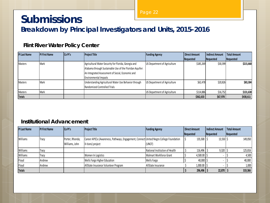# **Submissions**

**Breakdown by Principal Investigators and Units, 2015-2016**

#### **Flint River Water Policy Center**

| <b>PI Last Name</b> | <b>PI First Name</b> | Co PI's | <b>Project Title</b>                                     | <b>Funding Agency</b>        | Direct Amount | <b>Indirect Amount</b> | <b>Total Amount</b> |
|---------------------|----------------------|---------|----------------------------------------------------------|------------------------------|---------------|------------------------|---------------------|
|                     |                      |         |                                                          |                              | Requested     | Requested              | Requested           |
| <b>Masters</b>      | <b>Mark</b>          |         | Agricultural Water Security for Florida, Georgia and     | US Department of Agriculture | \$185,269     | \$30,399               | \$215,668           |
|                     |                      |         | Alabama through Sustainable Use of the Floridan Aquifer: |                              |               |                        |                     |
|                     |                      |         | An Integrated Assessment of Social, Economic and         |                              |               |                        |                     |
|                     |                      |         | <b>Environmental Impacts</b>                             |                              |               |                        |                     |
| <b>Masters</b>      | <b>Mark</b>          |         | Understanding Agricultural Water Use Behavior through    | US Department of Agriculture | \$62,478      | \$20,826               | \$83,304            |
|                     |                      |         | Randomized Controlled Trials                             |                              |               |                        |                     |
| <b>Masters</b>      | Mark                 |         |                                                          | US Department of Agriculture | \$114,886     | \$16,752               | \$131,638           |
| <b>Totals</b>       |                      |         |                                                          |                              | \$362,633     | \$67,978               | \$430,611           |

#### **Institutional Advancement**

| <b>PI Last Name</b> | <b>PI First Name</b> | <b>Co PI's</b>  | <b>Project Title</b>                                                                   | <b>Funding Agency</b>          | Direct Amount  | <b>Indirect Amount</b> | <b>Total Amount</b> |
|---------------------|----------------------|-----------------|----------------------------------------------------------------------------------------|--------------------------------|----------------|------------------------|---------------------|
|                     |                      |                 |                                                                                        |                                | Requested      | <b>Requested</b>       | Requested           |
| Williams            | <b>Tracy</b>         | Porter, Rhonda; | Career APECx (Awareness, Pathways, Engagement, Connect United Negro College Foundation |                                | $135,500$ S    | $13,550$ \$            | 149,050             |
|                     |                      | Williams, John  | X-tions) project                                                                       | (UNCF)                         |                |                        |                     |
| Williams            | Tracy                |                 |                                                                                        | National Institution of Health | 116,496        | 9,320                  | 125,816             |
| Williams            | Tracy                |                 | Women In Logistics                                                                     | Walmart Workforce Grant        | 4,500.00       |                        | 4,500               |
| Floyd               | Andrew               |                 | Wells Fargo Higher Education                                                           | Wells Fargo                    | 40,000         |                        | 40,000              |
| Floyd               | Andrew               |                 | AllState Insurance Volunteer Program                                                   | AllState Insurance             | $1,000.00$ \$  |                        | 1,000               |
| <b>Totals</b>       |                      |                 |                                                                                        |                                | $296,496$   \$ | 22,870                 | 319,366             |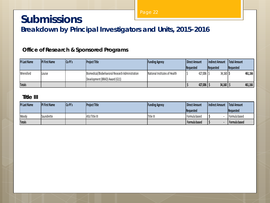### **Submissions**

**Breakdown by Principal Investigators and Units, 2015-2016**

#### **Office of Research & Sponsored Programs**

| <b>PI Last Name</b> | <b>PI First Name</b> | Co Pl's | <b>Project Title</b>                             | <b>Funding Agency</b>         | Direct Amount       | Indirect Amount        | Total Amount      |
|---------------------|----------------------|---------|--------------------------------------------------|-------------------------------|---------------------|------------------------|-------------------|
|                     |                      |         |                                                  |                               | <b>Requested</b>    | <b>Requested</b>       | <b>IRequested</b> |
| Wrensford           | Louise               |         | Biomedical/Biobehavioral Research Administration | National Institutes of Health | $427,006$ $\mid$ \$ | $34,160$   \$          | 461,166           |
|                     |                      |         | Development (BRAD) Award (G11)                   |                               |                     |                        |                   |
| <b>Totals</b>       |                      |         |                                                  |                               | 427,006             | $34,160$ $\frac{1}{3}$ | 461,166           |

#### **Title III**

| <b>PI Last Name</b> | <b>PI First Name</b> | Co <sub>Pl's</sub> | <b>Project Title</b> | <b>Funding Agency</b> | Direct Amount | Indirect Amount | Total Amount     |
|---------------------|----------------------|--------------------|----------------------|-----------------------|---------------|-----------------|------------------|
|                     |                      |                    |                      |                       | Requested     |                 | <b>Requested</b> |
| Moody               | Saundrette           |                    | ASU Title III        | Title III             | Formula based |                 | Formula based    |
| <b>Totals</b>       |                      |                    |                      |                       | Formula based |                 | Formula based    |